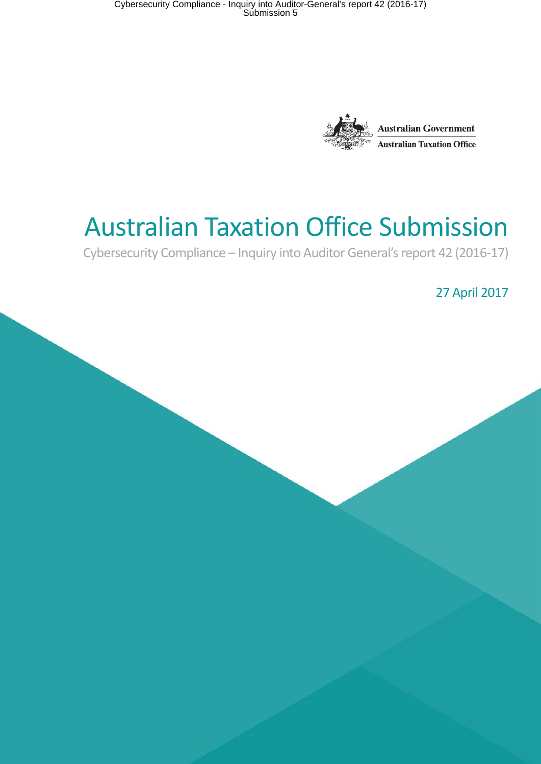

# Australian Taxation Office Submission

Cybersecurity Compliance – Inquiry into Auditor General's report 42 (2016-17)

27 April 2017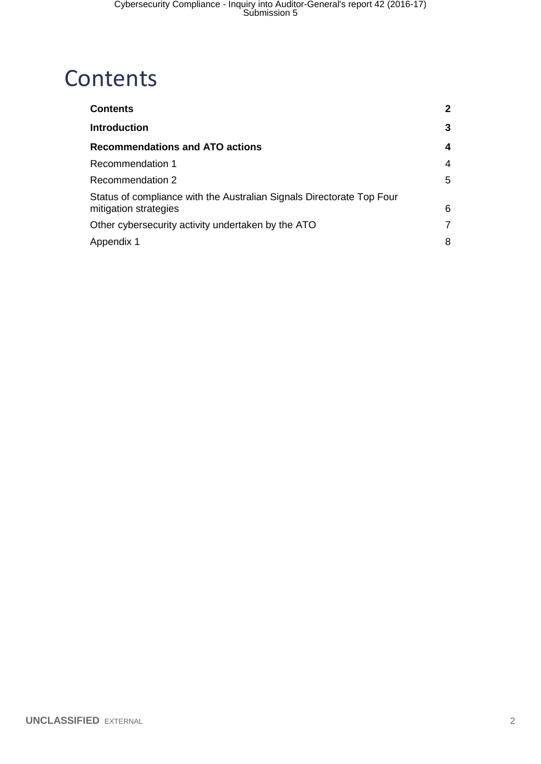## <span id="page-1-0"></span>**Contents**

| <b>Contents</b>                                                                                | $\mathbf{2}$ |
|------------------------------------------------------------------------------------------------|--------------|
| <b>Introduction</b>                                                                            | 3            |
| <b>Recommendations and ATO actions</b>                                                         | 4            |
| <b>Recommendation 1</b>                                                                        | 4            |
| Recommendation 2                                                                               | 5            |
| Status of compliance with the Australian Signals Directorate Top Four<br>mitigation strategies | 6            |
| Other cybersecurity activity undertaken by the ATO                                             | 7            |
| Appendix 1                                                                                     | 8            |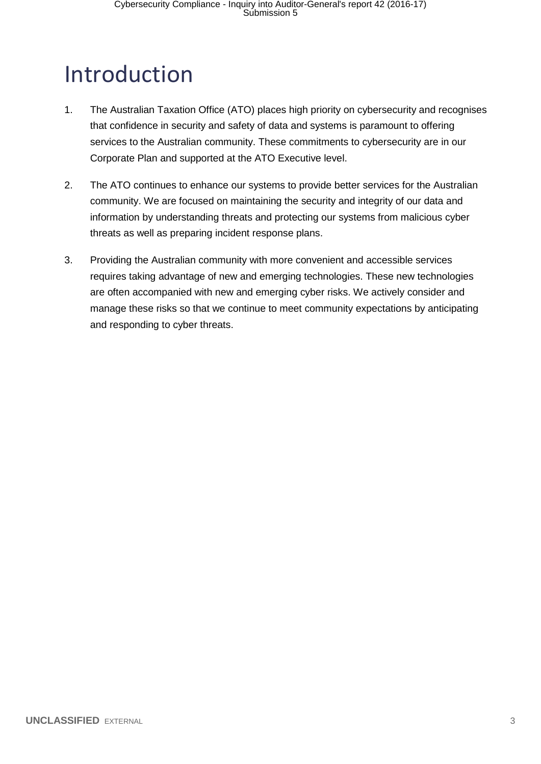## <span id="page-2-0"></span>Introduction

- 1. The Australian Taxation Office (ATO) places high priority on cybersecurity and recognises that confidence in security and safety of data and systems is paramount to offering services to the Australian community. These commitments to cybersecurity are in our Corporate Plan and supported at the ATO Executive level.
- 2. The ATO continues to enhance our systems to provide better services for the Australian community. We are focused on maintaining the security and integrity of our data and information by understanding threats and protecting our systems from malicious cyber threats as well as preparing incident response plans.
- 3. Providing the Australian community with more convenient and accessible services requires taking advantage of new and emerging technologies. These new technologies are often accompanied with new and emerging cyber risks. We actively consider and manage these risks so that we continue to meet community expectations by anticipating and responding to cyber threats.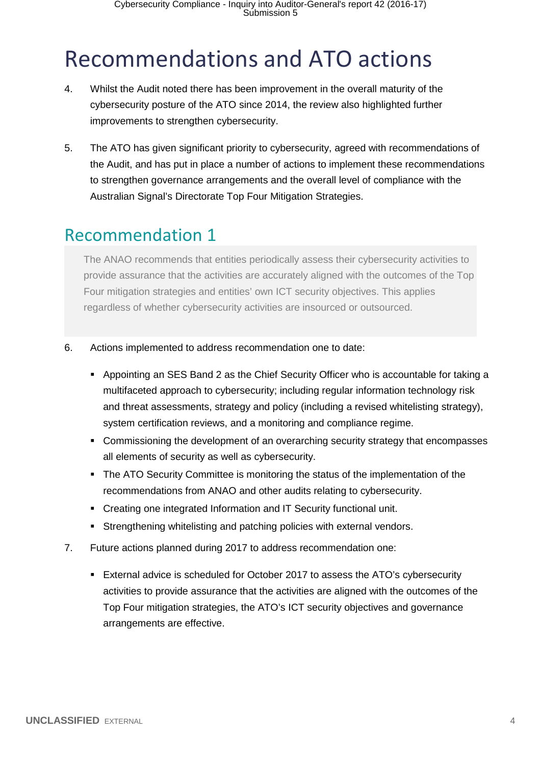## <span id="page-3-0"></span>Recommendations and ATO actions

- 4. Whilst the Audit noted there has been improvement in the overall maturity of the cybersecurity posture of the ATO since 2014, the review also highlighted further improvements to strengthen cybersecurity.
- 5. The ATO has given significant priority to cybersecurity, agreed with recommendations of the Audit, and has put in place a number of actions to implement these recommendations to strengthen governance arrangements and the overall level of compliance with the Australian Signal's Directorate Top Four Mitigation Strategies.

### <span id="page-3-1"></span>Recommendation 1

The ANAO recommends that entities periodically assess their cybersecurity activities to provide assurance that the activities are accurately aligned with the outcomes of the Top Four mitigation strategies and entities' own ICT security objectives. This applies regardless of whether cybersecurity activities are insourced or outsourced.

- 6. Actions implemented to address recommendation one to date:
	- Appointing an SES Band 2 as the Chief Security Officer who is accountable for taking a multifaceted approach to cybersecurity; including regular information technology risk and threat assessments, strategy and policy (including a revised whitelisting strategy), system certification reviews, and a monitoring and compliance regime.
	- Commissioning the development of an overarching security strategy that encompasses all elements of security as well as cybersecurity.
	- The ATO Security Committee is monitoring the status of the implementation of the recommendations from ANAO and other audits relating to cybersecurity.
	- Creating one integrated Information and IT Security functional unit.
	- Strengthening whitelisting and patching policies with external vendors.
- 7. Future actions planned during 2017 to address recommendation one:
	- External advice is scheduled for October 2017 to assess the ATO's cybersecurity activities to provide assurance that the activities are aligned with the outcomes of the Top Four mitigation strategies, the ATO's ICT security objectives and governance arrangements are effective.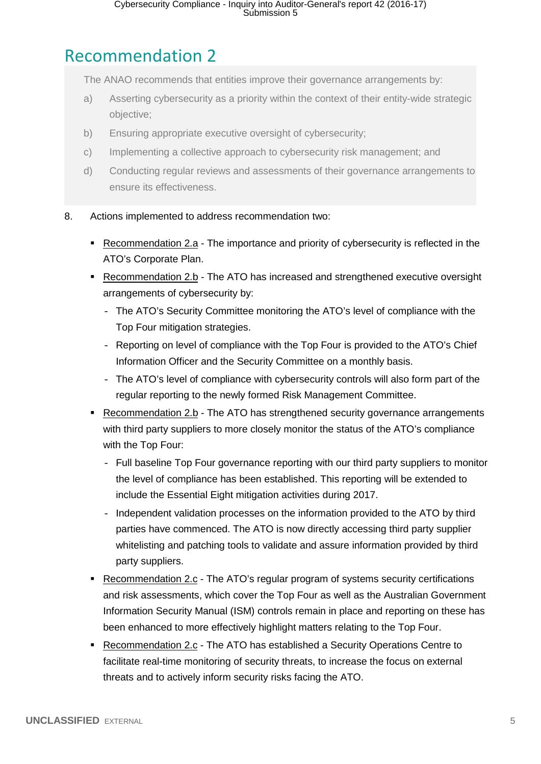## <span id="page-4-0"></span>Recommendation 2

The ANAO recommends that entities improve their governance arrangements by:

- a) Asserting cybersecurity as a priority within the context of their entity-wide strategic objective;
- b) Ensuring appropriate executive oversight of cybersecurity;
- c) Implementing a collective approach to cybersecurity risk management; and
- d) Conducting regular reviews and assessments of their governance arrangements to ensure its effectiveness.
- 8. Actions implemented to address recommendation two:
	- Recommendation 2.a The importance and priority of cybersecurity is reflected in the ATO's Corporate Plan.
	- Recommendation 2.b The ATO has increased and strengthened executive oversight arrangements of cybersecurity by:
		- The ATO's Security Committee monitoring the ATO's level of compliance with the Top Four mitigation strategies.
		- Reporting on level of compliance with the Top Four is provided to the ATO's Chief Information Officer and the Security Committee on a monthly basis.
		- The ATO's level of compliance with cybersecurity controls will also form part of the regular reporting to the newly formed Risk Management Committee.
	- Recommendation 2.b The ATO has strengthened security governance arrangements with third party suppliers to more closely monitor the status of the ATO's compliance with the Top Four:
		- Full baseline Top Four governance reporting with our third party suppliers to monitor the level of compliance has been established. This reporting will be extended to include the Essential Eight mitigation activities during 2017.
		- Independent validation processes on the information provided to the ATO by third parties have commenced. The ATO is now directly accessing third party supplier whitelisting and patching tools to validate and assure information provided by third party suppliers.
	- Recommendation 2.c The ATO's regular program of systems security certifications and risk assessments, which cover the Top Four as well as the Australian Government Information Security Manual (ISM) controls remain in place and reporting on these has been enhanced to more effectively highlight matters relating to the Top Four.
	- Recommendation 2.c The ATO has established a Security Operations Centre to facilitate real-time monitoring of security threats, to increase the focus on external threats and to actively inform security risks facing the ATO.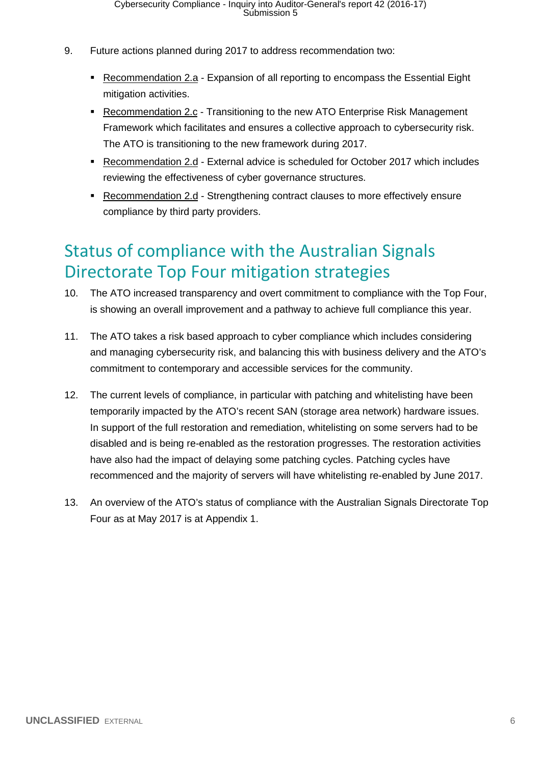- 9. Future actions planned during 2017 to address recommendation two:
	- Recommendation 2.a Expansion of all reporting to encompass the Essential Eight mitigation activities.
	- **Recommendation 2.c Transitioning to the new ATO Enterprise Risk Management** Framework which facilitates and ensures a collective approach to cybersecurity risk. The ATO is transitioning to the new framework during 2017.
	- Recommendation 2.d External advice is scheduled for October 2017 which includes reviewing the effectiveness of cyber governance structures.
	- Recommendation 2.d Strengthening contract clauses to more effectively ensure compliance by third party providers.

### <span id="page-5-0"></span>Status of compliance with the Australian Signals Directorate Top Four mitigation strategies

- 10. The ATO increased transparency and overt commitment to compliance with the Top Four, is showing an overall improvement and a pathway to achieve full compliance this year.
- 11. The ATO takes a risk based approach to cyber compliance which includes considering and managing cybersecurity risk, and balancing this with business delivery and the ATO's commitment to contemporary and accessible services for the community.
- 12. The current levels of compliance, in particular with patching and whitelisting have been temporarily impacted by the ATO's recent SAN (storage area network) hardware issues. In support of the full restoration and remediation, whitelisting on some servers had to be disabled and is being re-enabled as the restoration progresses. The restoration activities have also had the impact of delaying some patching cycles. Patching cycles have recommenced and the majority of servers will have whitelisting re-enabled by June 2017.
- 13. An overview of the ATO's status of compliance with the Australian Signals Directorate Top Four as at May 2017 is at Appendix 1.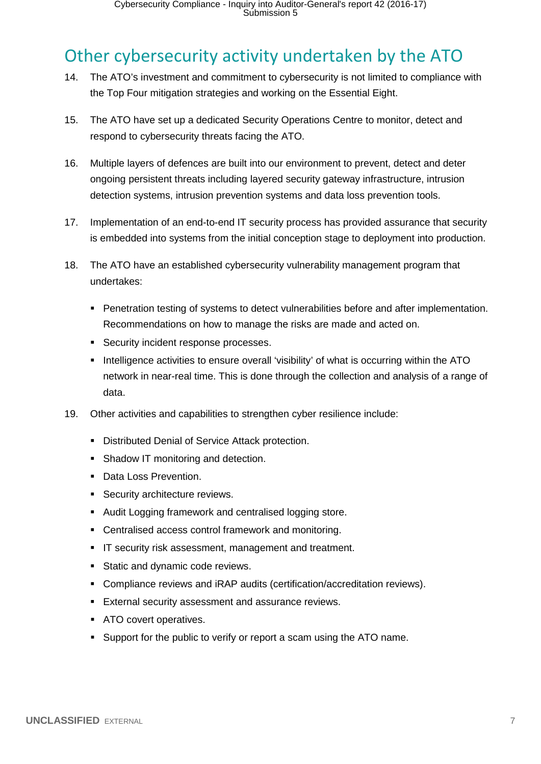### <span id="page-6-0"></span>Other cybersecurity activity undertaken by the ATO

- 14. The ATO's investment and commitment to cybersecurity is not limited to compliance with the Top Four mitigation strategies and working on the Essential Eight.
- 15. The ATO have set up a dedicated Security Operations Centre to monitor, detect and respond to cybersecurity threats facing the ATO.
- 16. Multiple layers of defences are built into our environment to prevent, detect and deter ongoing persistent threats including layered security gateway infrastructure, intrusion detection systems, intrusion prevention systems and data loss prevention tools.
- 17. Implementation of an end-to-end IT security process has provided assurance that security is embedded into systems from the initial conception stage to deployment into production.
- 18. The ATO have an established cybersecurity vulnerability management program that undertakes:
	- **Penetration testing of systems to detect vulnerabilities before and after implementation.** Recommendations on how to manage the risks are made and acted on.
	- **Security incident response processes.**
	- Intelligence activities to ensure overall 'visibility' of what is occurring within the ATO network in near-real time. This is done through the collection and analysis of a range of data.
- 19. Other activities and capabilities to strengthen cyber resilience include:
	- **-** Distributed Denial of Service Attack protection.
	- Shadow IT monitoring and detection.
	- Data Loss Prevention.
	- **Security architecture reviews.**
	- Audit Logging framework and centralised logging store.
	- **-** Centralised access control framework and monitoring.
	- **IF security risk assessment, management and treatment.**
	- **Static and dynamic code reviews.**
	- Compliance reviews and iRAP audits (certification/accreditation reviews).
	- **External security assessment and assurance reviews.**
	- **ATO** covert operatives.
	- Support for the public to verify or report a scam using the ATO name.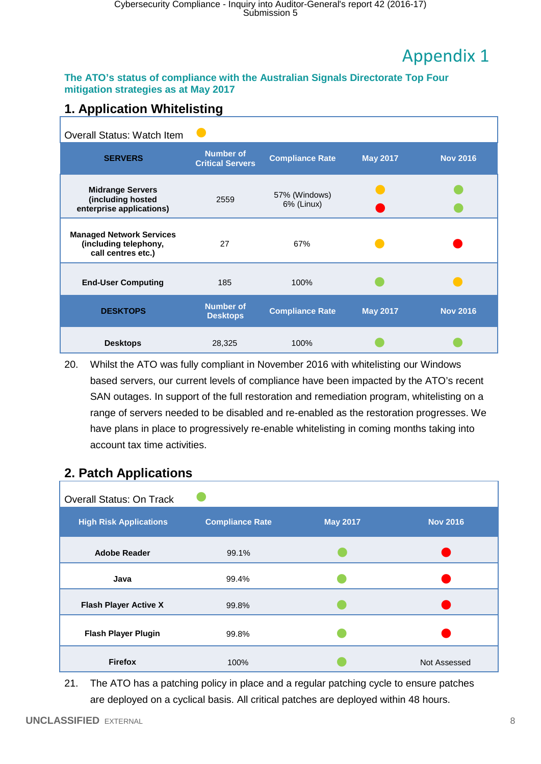## Appendix 1

#### <span id="page-7-0"></span>**The ATO's status of compliance with the Australian Signals Directorate Top Four mitigation strategies as at May 2017**

#### **1. Application Whitelisting**

| <b>Overall Status: Watch Item</b>                                              |                                             |                             |                 |                 |
|--------------------------------------------------------------------------------|---------------------------------------------|-----------------------------|-----------------|-----------------|
| <b>SERVERS</b>                                                                 | <b>Number of</b><br><b>Critical Servers</b> | <b>Compliance Rate</b>      | <b>May 2017</b> | <b>Nov 2016</b> |
| <b>Midrange Servers</b><br>(including hosted<br>enterprise applications)       | 2559                                        | 57% (Windows)<br>6% (Linux) |                 |                 |
| <b>Managed Network Services</b><br>(including telephony,<br>call centres etc.) | 27                                          | 67%                         |                 |                 |
| <b>End-User Computing</b>                                                      | 185                                         | 100%                        |                 |                 |
| <b>DESKTOPS</b>                                                                | <b>Number of</b><br><b>Desktops</b>         | <b>Compliance Rate</b>      | <b>May 2017</b> | <b>Nov 2016</b> |
| <b>Desktops</b>                                                                | 28,325                                      | 100%                        |                 |                 |

20. Whilst the ATO was fully compliant in November 2016 with whitelisting our Windows based servers, our current levels of compliance have been impacted by the ATO's recent SAN outages. In support of the full restoration and remediation program, whitelisting on a range of servers needed to be disabled and re-enabled as the restoration progresses. We have plans in place to progressively re-enable whitelisting in coming months taking into account tax time activities.

| -г г                            |                        |                 |                 |
|---------------------------------|------------------------|-----------------|-----------------|
| <b>Overall Status: On Track</b> |                        |                 |                 |
| <b>High Risk Applications</b>   | <b>Compliance Rate</b> | <b>May 2017</b> | <b>Nov 2016</b> |
| <b>Adobe Reader</b>             | 99.1%                  |                 |                 |
| Java                            | 99.4%                  |                 |                 |
| <b>Flash Player Active X</b>    | 99.8%                  |                 |                 |
| <b>Flash Player Plugin</b>      | 99.8%                  |                 |                 |
| <b>Firefox</b>                  | 100%                   |                 | Not Assessed    |

#### **2. Patch Applications**

21. The ATO has a patching policy in place and a regular patching cycle to ensure patches are deployed on a cyclical basis. All critical patches are deployed within 48 hours.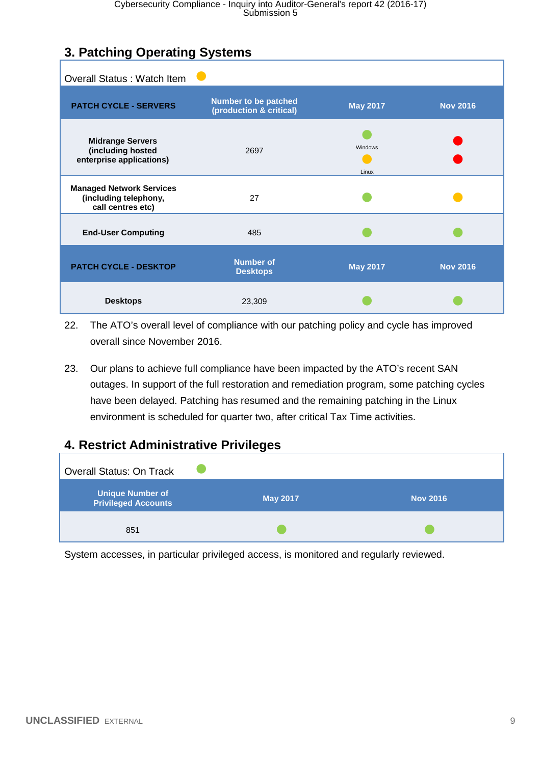#### **3. Patching Operating Systems**

| <b>Overall Status: Watch Item</b>                                             |                                                        |                  |                 |
|-------------------------------------------------------------------------------|--------------------------------------------------------|------------------|-----------------|
| <b>PATCH CYCLE - SERVERS</b>                                                  | <b>Number to be patched</b><br>(production & critical) | <b>May 2017</b>  | <b>Nov 2016</b> |
| <b>Midrange Servers</b><br>(including hosted<br>enterprise applications)      | 2697                                                   | Windows<br>Linux |                 |
| <b>Managed Network Services</b><br>(including telephony,<br>call centres etc) | 27                                                     |                  |                 |
| <b>End-User Computing</b>                                                     | 485                                                    |                  |                 |
| <b>PATCH CYCLE - DESKTOP</b>                                                  | <b>Number of</b><br><b>Desktops</b>                    | <b>May 2017</b>  | <b>Nov 2016</b> |
| <b>Desktops</b>                                                               | 23,309                                                 |                  |                 |

22. The ATO's overall level of compliance with our patching policy and cycle has improved overall since November 2016.

23. Our plans to achieve full compliance have been impacted by the ATO's recent SAN outages. In support of the full restoration and remediation program, some patching cycles have been delayed. Patching has resumed and the remaining patching in the Linux environment is scheduled for quarter two, after critical Tax Time activities.

#### **4. Restrict Administrative Privileges**



System accesses, in particular privileged access, is monitored and regularly reviewed.